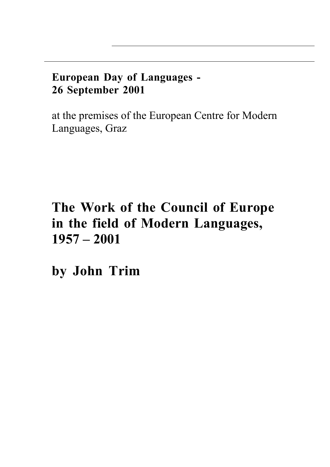# **European Day of Languages - 26 September 2001**

at the premises of the European Centre for Modern Languages, Graz

# **The Work of the Council of Europe in the field of Modern Languages, 1957 – 2001**

**by John Trim**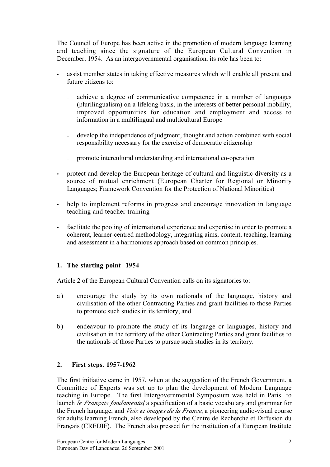The Council of Europe has been active in the promotion of modern language learning and teaching since the signature of the European Cultural Convention in December, 1954. As an intergovernmental organisation, its role has been to:

- assist member states in taking effective measures which will enable all present and future citizens to:
	- <sup>−</sup> achieve a degree of communicative competence in a number of languages (plurilingualism) on a lifelong basis, in the interests of better personal mobility, improved opportunities for education and employment and access to information in a multilingual and multicultural Europe
	- <sup>−</sup> develop the independence of judgment, thought and action combined with social responsibility necessary for the exercise of democratic citizenship
	- promote intercultural understanding and international co-operation
- protect and develop the European heritage of cultural and linguistic diversity as a source of mutual enrichment (European Charter for Regional or Minority Languages; Framework Convention for the Protection of National Minorities)
- help to implement reforms in progress and encourage innovation in language teaching and teacher training
- facilitate the pooling of international experience and expertise in order to promote a coherent, learner-centred methodology, integrating aims, content, teaching, learning and assessment in a harmonious approach based on common principles.

# **1. The starting point 1954**

Article 2 of the European Cultural Convention calls on its signatories to:

- a) encourage the study by its own nationals of the language, history and civilisation of the other Contracting Parties and grant facilities to those Parties to promote such studies in its territory, and
- b) endeavour to promote the study of its language or languages, history and civilisation in the territory of the other Contracting Parties and grant facilities to the nationals of those Parties to pursue such studies in its territory.

# **2. First steps. 1957-1962**

 $\overline{a}$ 

The first initiative came in 1957, when at the suggestion of the French Government, a Committee of Experts was set up to plan the development of Modern Language teaching in Europe. The first Intergovernmental Symposium was held in Paris to launch *le Français fondamental*, a specification of a basic vocabulary and grammar for the French language, and *Voix et images de la France*, a pioneering audio-visual course for adults learning French, also developed by the Centre de Recherche et Diffusion du Français (CREDIF). The French also pressed for the institution of a European Institute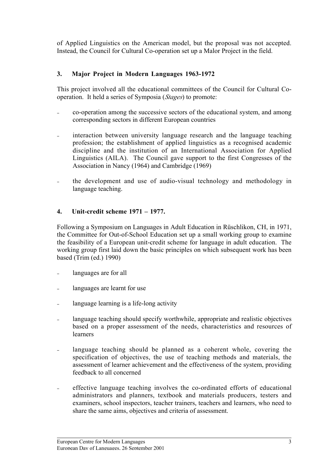of Applied Linguistics on the American model, but the proposal was not accepted. Instead, the Council for Cultural Co-operation set up a Malor Project in the field.

#### **3. Major Project in Modern Languages 1963-1972**

This project involved all the educational committees of the Council for Cultural Cooperation. It held a series of Symposia (*Stages*) to promote:

- <sup>−</sup> co-operation among the successive sectors of the educational system, and among corresponding sectors in different European countries
- interaction between university language research and the language teaching profession; the establishment of applied linguistics as a recognised academic discipline and the institution of an International Association for Applied Linguistics (AILA). The Council gave support to the first Congresses of the Association in Nancy (1964) and Cambridge (1969)
- the development and use of audio-visual technology and methodology in language teaching.

#### **4. Unit-credit scheme 1971 – 1977.**

Following a Symposium on Languages in Adult Education in Rüschlikon, CH, in 1971, the Committee for Out-of-School Education set up a small working group to examine the feasibility of a European unit-credit scheme for language in adult education. The working group first laid down the basic principles on which subsequent work has been based (Trim (ed.) 1990)

- languages are for all
- <sup>−</sup> languages are learnt for use
- language learning is a life-long activity
- language teaching should specify worthwhile, appropriate and realistic objectives based on a proper assessment of the needs, characteristics and resources of learners
- language teaching should be planned as a coherent whole, covering the specification of objectives, the use of teaching methods and materials, the assessment of learner achievement and the effectiveness of the system, providing feedback to all concerned
- effective language teaching involves the co-ordinated efforts of educational administrators and planners, textbook and materials producers, testers and examiners, school inspectors, teacher trainers, teachers and learners, who need to share the same aims, objectives and criteria of assessment.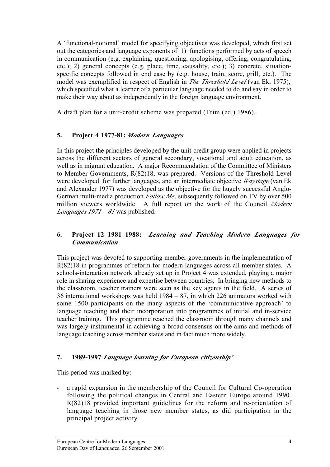A 'functional-notional' model for specifying objectives was developed, which first set out the categories and language exponents of 1) functions performed by acts of speech in communication (e.g. explaining, questioning, apologising, offering, congratulating, etc.); 2) general concepts (e.g. place, time, causality, etc.); 3) concrete, situationspecific concepts followed in end case by (e.g. house, train, score, grill, etc.). The model was exemplified in respect of English in *The Threshold Level* (van Ek, 1975), which specified what a learner of a particular language needed to do and say in order to make their way about as independently in the foreign language environment.

A draft plan for a unit-credit scheme was prepared (Trim (ed.) 1986).

### **5. Project 4 1977-81:** *Modern Languages*

In this project the principles developed by the unit-credit group were applied in projects across the different sectors of general secondary, vocational and adult education, as well as in migrant education. A major Recommendation of the Committee of Ministers to Member Governments, R(82)18, was prepared. Versions of the Threshold Level were developed for further languages, and an intermediate objective *Waystage* (van Ek and Alexander 1977) was developed as the objective for the hugely successful Anglo-German multi-media production *Follow Me*, subsequently followed on TV by over 500 million viewers worldwide. A full report on the work of the Council *Modern Languages 1971 – 81* was published.

#### **6. Project 12 1981–1988:** *Learning and Teaching Modern Languages for Communication*

This project was devoted to supporting member governments in the implementation of R(82)18 in programmes of reform for modern languages across all member states. A schools-interaction network already set up in Project 4 was extended, playing a major role in sharing experience and expertise between countries. In bringing new methods to the classroom, teacher trainers were seen as the key agents in the field. A series of 36 international workshops was held 1984 – 87, in which 226 animators worked with some 1500 participants on the many aspects of the 'communicative approach' to language teaching and their incorporation into programmes of initial and in-service teacher training. This programme reached the classroom through many channels and was largely instrumental in achieving a broad consensus on the aims and methods of language teaching across member states and in fact much more widely.

#### **7. 1989-1997** *Language learning for European citizenship'*

This period was marked by:

 $\overline{a}$ 

• a rapid expansion in the membership of the Council for Cultural Co-operation following the political changes in Central and Eastern Europe around 1990. R(82)18 provided important guidelines for the reform and re-orientation of language teaching in those new member states, as did participation in the principal project activity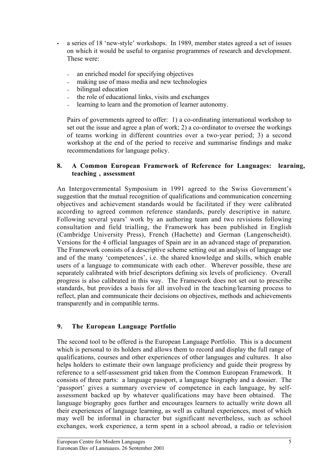- a series of 18 'new-style' workshops. In 1989, member states agreed a set of issues on which it would be useful to organise programmes of research and development. These were:
	- <sup>−</sup> an enriched model for specifying objectives
	- <sup>−</sup> making use of mass media and new technologies
	- <sup>−</sup> bilingual education
	- <sup>−</sup> the role of educational links, visits and exchanges
	- learning to learn and the promotion of learner autonomy.

Pairs of governments agreed to offer: 1) a co-ordinating international workshop to set out the issue and agree a plan of work; 2) a co-ordinator to oversee the workings of teams working in different countries over a two-year period; 3) a second workshop at the end of the period to receive and summarise findings and make recommendations for language policy.

#### **8. A Common European Framework of Reference for Languages: learning, teaching , assessment**

An Intergovernmental Symposium in 1991 agreed to the Swiss Government's suggestion that the mutual recognition of qualifications and communication concerning objectives and achievement standards would be facilitated if they were calibrated according to agreed common reference standards, purely descriptive in nature. Following several years' work by an authoring team and two revisions following consultation and field trialling, the Framework has been published in English (Cambridge University Press), French (Hachette) and German (Langenscheidt). Versions for the 4 official languages of Spain are in an advanced stage of preparation. The Framework consists of a descriptive scheme setting out an analysis of language use and of the many 'competences', i.e. the shared knowledge and skills, which enable users of a language to communicate with each other. Wherever possible, these are separately calibrated with brief descriptors defining six levels of proficiency. Overall progress is also calibrated in this way. The Framework does not set out to prescribe standards, but provides a basis for all involved in the teaching/learning process to reflect, plan and communicate their decisions on objectives, methods and achievements transparently and in compatible terms.

# **9. The European Language Portfolio**

The second tool to be offered is the European Language Portfolio. This is a document which is personal to its holders and allows them to record and display the full range of qualifications, courses and other experiences of other languages and cultures. It also helps holders to estimate their own language proficiency and guide their progress by reference to a self-assessment grid taken from the Common European Framework. It consists of three parts: a language passport, a language biography and a dossier. The 'passport' gives a summary overview of competence in each language, by selfassessment backed up by whatever qualifications may have been obtained. The language biography goes further and encourages learners to actually write down all their experiences of language learning, as well as cultural experiences, most of which may well be informal in character but significant nevertheless, such as school exchanges, work experience, a term spent in a school abroad, a radio or television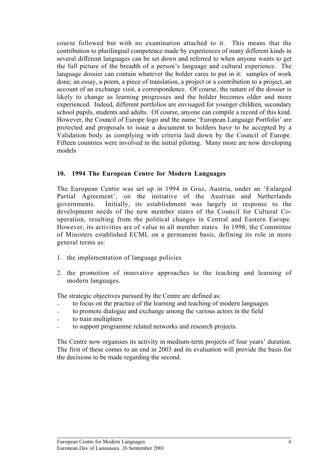course followed but with no examination attached to it. This means that the contribution to plurilingual competence made by experiences of many different kinds in several different languages can be set down and referred to when anyone wants to get the full picture of the breadth of a person's language and cultural experience. The language dossier can contain whatever the holder cares to put in it: samples of work done; an essay, a poem, a piece of translation, a project or a contribution to a project, an account of an exchange visit, a correspondence. Of course, the nature of the dossier is likely to change as learning progresses and the holder becomes older and more experienced. Indeed, different portfolios are envisaged for younger children, secondary school pupils, students and adults. Of course, anyone can compile a record of this kind. However, the Council of Europe logo and the name 'European Language Portfolio' are protected and proposals to issue a document to holders have to be accepted by a Validation body as complying with criteria laid down by the Council of Europe. Fifteen countries were involved in the initial piloting. Many more are now developing models

#### **10. 1994 The European Centre for Modern Languages**

The European Centre was set up in 1994 in Graz, Austria, under an 'Enlarged Partial Agreement', on the initiative of the Austrian and Netherlands governments. Initially, its establishment was largely in response to the development needs of the new member states of the Council for Cultural Cooperation, resulting from the political changes in Central and Eastern Europe. However, its activities are of value to all member states. In 1998, the Committee of Ministers established ECML on a permanent basis, defining its role in more general terms as:

- 1. the implementation of language policies
- 2. the promotion of innovative approaches to the teaching and learning of modern languages.

The strategic objectives pursued by the Centre are defined as:

- to focus on the practice of the learning and teaching of modern languages
- − to promote dialogue and exchange among the various actors in the field
- <sup>−</sup> to train multipliers
- to support programme related networks and research projects.

The Centre now organises its activity in medium-term projects of four years' duration. The first of these comes to an end in 2003 and its evaluation will provide the basis for the decisions to be made regarding the second.